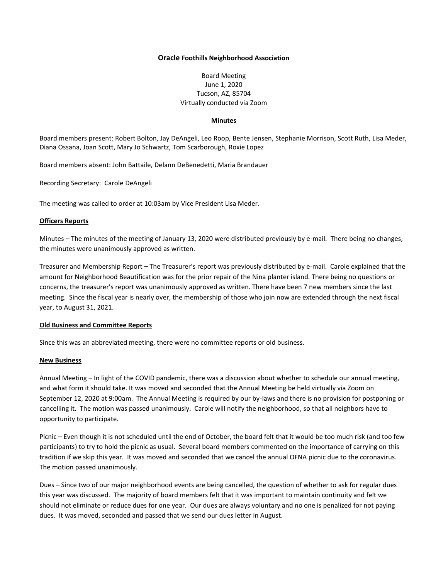# **Oracle Foothills Neighborhood Association**

# Board Meeting June 1, 2020 Tucson, AZ, 85704 Virtually conducted via Zoom

### **Minutes**

Board members present: Robert Bolton, Jay DeAngeli, Leo Roop, Bente Jensen, Stephanie Morrison, Scott Ruth, Lisa Meder, Diana Ossana, Joan Scott, Mary Jo Schwartz, Tom Scarborough, Roxie Lopez

Board members absent: John Battaile, Delann DeBenedetti, Maria Brandauer

Recording Secretary: Carole DeAngeli

The meeting was called to order at 10:03am by Vice President Lisa Meder.

### **Officers Reports**

Minutes – The minutes of the meeting of January 13, 2020 were distributed previously by e-mail. There being no changes, the minutes were unanimously approved as written.

Treasurer and Membership Report – The Treasurer's report was previously distributed by e-mail. Carole explained that the amount for Neighborhood Beautification was for the prior repair of the Nina planter island. There being no questions or concerns, the treasurer's report was unanimously approved as written. There have been 7 new members since the last meeting. Since the fiscal year is nearly over, the membership of those who join now are extended through the next fiscal year, to August 31, 2021.

# **Old Business and Committee Reports**

Since this was an abbreviated meeting, there were no committee reports or old business.

#### **New Business**

Annual Meeting – In light of the COVID pandemic, there was a discussion about whether to schedule our annual meeting, and what form it should take. It was moved and seconded that the Annual Meeting be held virtually via Zoom on September 12, 2020 at 9:00am. The Annual Meeting is required by our by-laws and there is no provision for postponing or cancelling it. The motion was passed unanimously. Carole will notify the neighborhood, so that all neighbors have to opportunity to participate.

Picnic – Even though it is not scheduled until the end of October, the board felt that it would be too much risk (and too few participants) to try to hold the picnic as usual. Several board members commented on the importance of carrying on this tradition if we skip this year. It was moved and seconded that we cancel the annual OFNA picnic due to the coronavirus. The motion passed unanimously.

Dues – Since two of our major neighborhood events are being cancelled, the question of whether to ask for regular dues this year was discussed. The majority of board members felt that it was important to maintain continuity and felt we should not eliminate or reduce dues for one year. Our dues are always voluntary and no one is penalized for not paying dues. It was moved, seconded and passed that we send our dues letter in August.